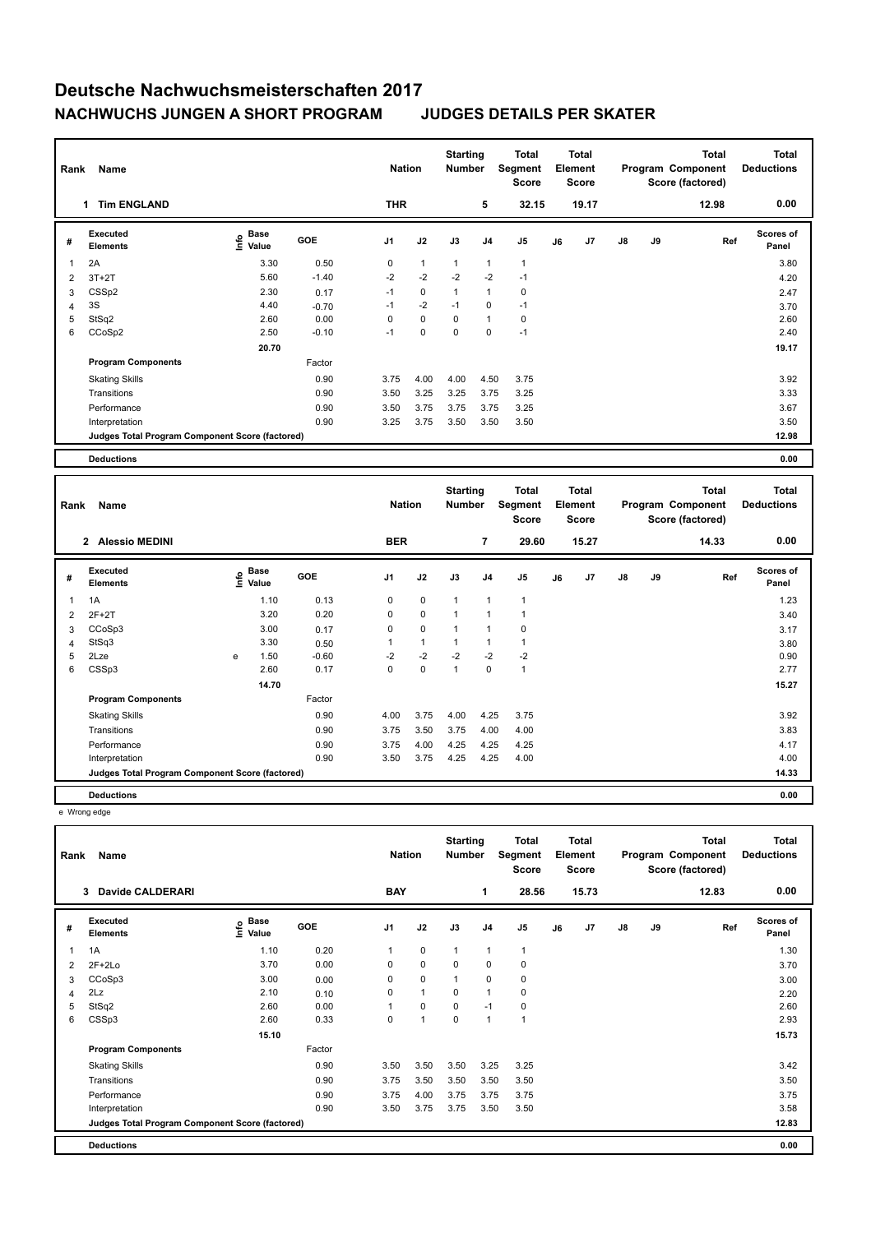| Rank | Name                                            |                           |            | <b>Nation</b>  |              | <b>Starting</b><br>Number |                | Total<br>Segment<br><b>Score</b> |    | <b>Total</b><br>Element<br><b>Score</b> |    |    | <b>Total</b><br>Program Component<br>Score (factored) | <b>Total</b><br><b>Deductions</b> |
|------|-------------------------------------------------|---------------------------|------------|----------------|--------------|---------------------------|----------------|----------------------------------|----|-----------------------------------------|----|----|-------------------------------------------------------|-----------------------------------|
|      | <b>Tim ENGLAND</b><br>1                         |                           |            | <b>THR</b>     |              |                           | 5              | 32.15                            |    | 19.17                                   |    |    | 12.98                                                 | 0.00                              |
| #    | <b>Executed</b><br><b>Elements</b>              | Base<br>e Base<br>E Value | <b>GOE</b> | J <sub>1</sub> | J2           | J3                        | J <sub>4</sub> | J <sub>5</sub>                   | J6 | J7                                      | J8 | J9 | Ref                                                   | <b>Scores of</b><br>Panel         |
| 1    | 2A                                              | 3.30                      | 0.50       | $\mathbf 0$    | $\mathbf{1}$ | $\mathbf{1}$              | 1              | $\mathbf{1}$                     |    |                                         |    |    |                                                       | 3.80                              |
| 2    | $3T+2T$                                         | 5.60                      | $-1.40$    | $-2$           | $-2$         | $-2$                      | $-2$           | $-1$                             |    |                                         |    |    |                                                       | 4.20                              |
| 3    | CSS <sub>p2</sub>                               | 2.30                      | 0.17       | $-1$           | $\pmb{0}$    | $\mathbf{1}$              | 1              | 0                                |    |                                         |    |    |                                                       | 2.47                              |
| 4    | 3S                                              | 4.40                      | $-0.70$    | $-1$           | $-2$         | $-1$                      | 0              | $-1$                             |    |                                         |    |    |                                                       | 3.70                              |
| 5    | StSq2                                           | 2.60                      | 0.00       | 0              | 0            | 0                         | 1              | 0                                |    |                                         |    |    |                                                       | 2.60                              |
| 6    | CCoSp2                                          | 2.50                      | $-0.10$    | $-1$           | 0            | 0                         | 0              | $-1$                             |    |                                         |    |    |                                                       | 2.40                              |
|      |                                                 | 20.70                     |            |                |              |                           |                |                                  |    |                                         |    |    |                                                       | 19.17                             |
|      | <b>Program Components</b>                       |                           | Factor     |                |              |                           |                |                                  |    |                                         |    |    |                                                       |                                   |
|      | <b>Skating Skills</b>                           |                           | 0.90       | 3.75           | 4.00         | 4.00                      | 4.50           | 3.75                             |    |                                         |    |    |                                                       | 3.92                              |
|      | Transitions                                     |                           | 0.90       | 3.50           | 3.25         | 3.25                      | 3.75           | 3.25                             |    |                                         |    |    |                                                       | 3.33                              |
|      | Performance                                     |                           | 0.90       | 3.50           | 3.75         | 3.75                      | 3.75           | 3.25                             |    |                                         |    |    |                                                       | 3.67                              |
|      | Interpretation                                  |                           | 0.90       | 3.25           | 3.75         | 3.50                      | 3.50           | 3.50                             |    |                                         |    |    |                                                       | 3.50                              |
|      | Judges Total Program Component Score (factored) |                           |            |                |              |                           |                |                                  |    |                                         |    |    |                                                       | 12.98                             |
|      | <b>Deductions</b>                               |                           |            |                |              |                           |                |                                  |    |                                         |    |    |                                                       | 0.00                              |

**Total Deductions Total Program Component Score (factored) Total Element Score Total Segment Score Starting Rank Name Nation Number # Executed Elements Base Value GOE J1 J2 J3 J4 J5 J6 J7 J8 J9 Scores of Panel** 1 1.10 0.13 0 0 1 1 1 **Ref**  الحافظة المسابقة المسابقة المسابقة المسابقة المسابقة المسابقة المسابقة المسابقة المسابقة المسابقة المسابقة الم<br>1A 1.10 0.13 0 0 1 1 1<br>1A 1.23  **2 Alessio MEDINI BER 7 29.60 15.27 14.33 0.00** 2 2F+2T 3.20 0.20 0 0 1 1 1 3.40 3 CCoSp3 3.00 0.17 0 0 1 1 0 3.17 4 StSq3 3.30 0.50 1 1 1 1 1 3.80 5 2Lze e 1.50 -0.60 -2 -2 -2 -2 -2 0.90 6 CSSp3 2.60 0.17 0 0 1 0 1 2.77  **14.70 15.27 Program Components**  Skating Skills **4.00** 4.00 4.25 3.75 Factor 0.90 3.92 Transitions 0.90 3.75 3.50 3.75 4.00 4.00 3.83 Performance 0.90 3.75 4.00 4.25 4.25 4.25 4.17 Interpretation 0.90 3.50 3.75 4.25 4.25 4.00 4.00 **Deductions 0.00 Judges Total Program Component Score (factored) 14.33**

e Wrong edge

| Rank | Name                                            |                       |        | <b>Nation</b>  |              | <b>Starting</b><br><b>Number</b> |                | <b>Total</b><br>Segment<br><b>Score</b> |    | <b>Total</b><br>Element<br><b>Score</b> |    |    | <b>Total</b><br>Program Component<br>Score (factored) | <b>Total</b><br><b>Deductions</b> |
|------|-------------------------------------------------|-----------------------|--------|----------------|--------------|----------------------------------|----------------|-----------------------------------------|----|-----------------------------------------|----|----|-------------------------------------------------------|-----------------------------------|
|      | Davide CALDERARI<br>3                           |                       |        | <b>BAY</b>     |              |                                  | 1              | 28.56                                   |    | 15.73                                   |    |    | 12.83                                                 | 0.00                              |
| #    | Executed<br><b>Elements</b>                     | Base<br>lnfo<br>Value | GOE    | J <sub>1</sub> | J2           | J3                               | J <sub>4</sub> | J <sub>5</sub>                          | J6 | J7                                      | J8 | J9 | Ref                                                   | <b>Scores of</b><br>Panel         |
| 1    | 1A                                              | 1.10                  | 0.20   | 1              | $\mathbf 0$  | $\mathbf{1}$                     | 1              | $\overline{1}$                          |    |                                         |    |    |                                                       | 1.30                              |
| 2    | $2F+2Lo$                                        | 3.70                  | 0.00   | 0              | $\pmb{0}$    | 0                                | 0              | 0                                       |    |                                         |    |    |                                                       | 3.70                              |
| 3    | CCoSp3                                          | 3.00                  | 0.00   | 0              | $\pmb{0}$    | $\mathbf{1}$                     | 0              | 0                                       |    |                                         |    |    |                                                       | 3.00                              |
| 4    | 2Lz                                             | 2.10                  | 0.10   | 0              | $\mathbf{1}$ | $\mathbf 0$                      | 1              | $\mathbf 0$                             |    |                                         |    |    |                                                       | 2.20                              |
| 5    | StSq2                                           | 2.60                  | 0.00   |                | $\mathbf 0$  | $\mathbf 0$                      | $-1$           | $\pmb{0}$                               |    |                                         |    |    |                                                       | 2.60                              |
| 6    | CSSp3                                           | 2.60                  | 0.33   | 0              | 1            | $\mathbf 0$                      | $\overline{1}$ | $\overline{1}$                          |    |                                         |    |    |                                                       | 2.93                              |
|      |                                                 | 15.10                 |        |                |              |                                  |                |                                         |    |                                         |    |    |                                                       | 15.73                             |
|      | <b>Program Components</b>                       |                       | Factor |                |              |                                  |                |                                         |    |                                         |    |    |                                                       |                                   |
|      | <b>Skating Skills</b>                           |                       | 0.90   | 3.50           | 3.50         | 3.50                             | 3.25           | 3.25                                    |    |                                         |    |    |                                                       | 3.42                              |
|      | Transitions                                     |                       | 0.90   | 3.75           | 3.50         | 3.50                             | 3.50           | 3.50                                    |    |                                         |    |    |                                                       | 3.50                              |
|      | Performance                                     |                       | 0.90   | 3.75           | 4.00         | 3.75                             | 3.75           | 3.75                                    |    |                                         |    |    |                                                       | 3.75                              |
|      | Interpretation                                  |                       | 0.90   | 3.50           | 3.75         | 3.75                             | 3.50           | 3.50                                    |    |                                         |    |    |                                                       | 3.58                              |
|      | Judges Total Program Component Score (factored) |                       |        |                |              |                                  |                |                                         |    |                                         |    |    |                                                       | 12.83                             |
|      | <b>Deductions</b>                               |                       |        |                |              |                                  |                |                                         |    |                                         |    |    |                                                       | 0.00                              |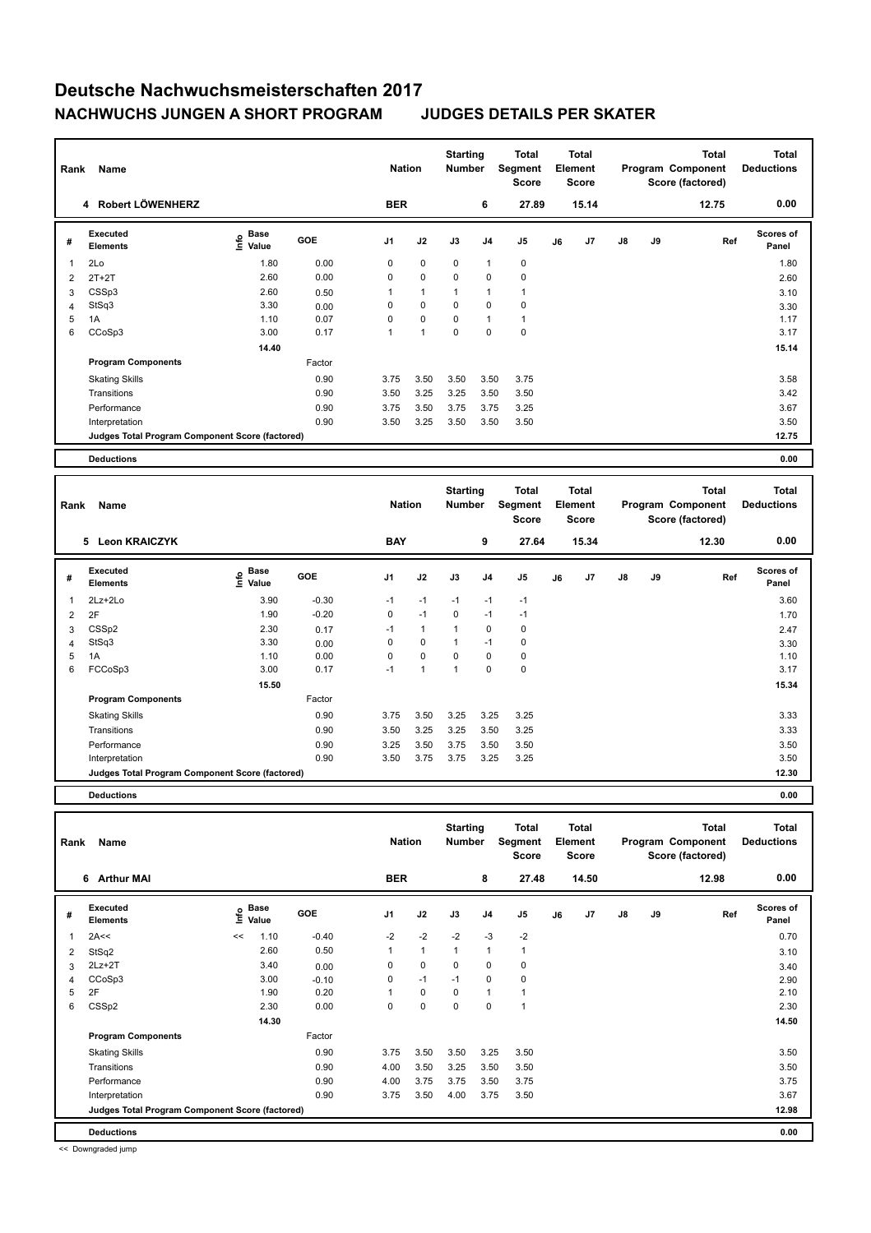| Rank | <b>Name</b>                                     |                                  |            | <b>Nation</b>  |              | <b>Starting</b><br><b>Number</b> |                | Total<br>Segment<br><b>Score</b> |    | <b>Total</b><br>Element<br><b>Score</b> |               |    | Total<br>Program Component<br>Score (factored) | <b>Total</b><br><b>Deductions</b> |
|------|-------------------------------------------------|----------------------------------|------------|----------------|--------------|----------------------------------|----------------|----------------------------------|----|-----------------------------------------|---------------|----|------------------------------------------------|-----------------------------------|
|      | 4 Robert LÖWENHERZ                              |                                  |            | <b>BER</b>     |              |                                  | 6              | 27.89                            |    | 15.14                                   |               |    | 12.75                                          | 0.00                              |
| #    | <b>Executed</b><br><b>Elements</b>              | <b>Base</b><br>e Base<br>E Value | <b>GOE</b> | J <sub>1</sub> | J2           | J3                               | J <sub>4</sub> | J <sub>5</sub>                   | J6 | J7                                      | $\mathsf{J}8$ | J9 | Ref                                            | <b>Scores of</b><br>Panel         |
| 1    | 2Lo                                             | 1.80                             | 0.00       | 0              | $\pmb{0}$    | 0                                | 1              | 0                                |    |                                         |               |    |                                                | 1.80                              |
| 2    | $2T+2T$                                         | 2.60                             | 0.00       | 0              | $\mathbf 0$  | $\mathbf 0$                      | $\mathbf 0$    | $\mathbf 0$                      |    |                                         |               |    |                                                | 2.60                              |
| 3    | CSSp3                                           | 2.60                             | 0.50       |                | $\mathbf{1}$ | $\mathbf{1}$                     | 1              | 1                                |    |                                         |               |    |                                                | 3.10                              |
| 4    | StSq3                                           | 3.30                             | 0.00       | 0              | $\mathbf 0$  | 0                                | 0              | $\mathbf 0$                      |    |                                         |               |    |                                                | 3.30                              |
| 5    | 1A                                              | 1.10                             | 0.07       | 0              | $\pmb{0}$    | 0                                | 1              | $\mathbf{1}$                     |    |                                         |               |    |                                                | 1.17                              |
| 6    | CCoSp3                                          | 3.00                             | 0.17       | 1              | $\mathbf{1}$ | 0                                | 0              | $\mathbf 0$                      |    |                                         |               |    |                                                | 3.17                              |
|      |                                                 | 14.40                            |            |                |              |                                  |                |                                  |    |                                         |               |    |                                                | 15.14                             |
|      | <b>Program Components</b>                       |                                  | Factor     |                |              |                                  |                |                                  |    |                                         |               |    |                                                |                                   |
|      | <b>Skating Skills</b>                           |                                  | 0.90       | 3.75           | 3.50         | 3.50                             | 3.50           | 3.75                             |    |                                         |               |    |                                                | 3.58                              |
|      | Transitions                                     |                                  | 0.90       | 3.50           | 3.25         | 3.25                             | 3.50           | 3.50                             |    |                                         |               |    |                                                | 3.42                              |
|      | Performance                                     |                                  | 0.90       | 3.75           | 3.50         | 3.75                             | 3.75           | 3.25                             |    |                                         |               |    |                                                | 3.67                              |
|      | Interpretation                                  |                                  | 0.90       | 3.50           | 3.25         | 3.50                             | 3.50           | 3.50                             |    |                                         |               |    |                                                | 3.50                              |
|      | Judges Total Program Component Score (factored) |                                  |            |                |              |                                  |                |                                  |    |                                         |               |    |                                                | 12.75                             |
|      | <b>Deductions</b>                               |                                  |            |                |              |                                  |                |                                  |    |                                         |               |    |                                                | 0.00                              |

| Rank           | Name                                            |                       |            | <b>Nation</b>  |              | <b>Starting</b><br><b>Number</b> |             | Total<br>Segment<br><b>Score</b> |    | Total<br>Element<br>Score |               |    | <b>Total</b><br>Program Component<br>Score (factored) | <b>Total</b><br><b>Deductions</b> |
|----------------|-------------------------------------------------|-----------------------|------------|----------------|--------------|----------------------------------|-------------|----------------------------------|----|---------------------------|---------------|----|-------------------------------------------------------|-----------------------------------|
|                | <b>Leon KRAICZYK</b><br>5                       |                       |            | <b>BAY</b>     |              |                                  | 9           | 27.64                            |    | 15.34                     |               |    | 12.30                                                 | 0.00                              |
| #              | <b>Executed</b><br><b>Elements</b>              | $E$ Base<br>$E$ Value | <b>GOE</b> | J <sub>1</sub> | J2           | J3                               | J4          | J <sub>5</sub>                   | J6 | J7                        | $\mathsf{J}8$ | J9 | Ref                                                   | <b>Scores of</b><br>Panel         |
| 1              | 2Lz+2Lo                                         | 3.90                  | $-0.30$    | $-1$           | $-1$         | $-1$                             | $-1$        | $-1$                             |    |                           |               |    |                                                       | 3.60                              |
| $\overline{2}$ | 2F                                              | 1.90                  | $-0.20$    | 0              | $-1$         | $\mathbf 0$                      | $-1$        | $-1$                             |    |                           |               |    |                                                       | 1.70                              |
| 3              | CSS <sub>p2</sub>                               | 2.30                  | 0.17       | $-1$           | $\mathbf{1}$ | $\overline{1}$                   | $\mathbf 0$ | $\pmb{0}$                        |    |                           |               |    |                                                       | 2.47                              |
| 4              | StSq3                                           | 3.30                  | 0.00       | 0              | 0            | 1                                | $-1$        | 0                                |    |                           |               |    |                                                       | 3.30                              |
| 5              | 1A                                              | 1.10                  | 0.00       | 0              | $\mathbf 0$  | 0                                | $\mathbf 0$ | 0                                |    |                           |               |    |                                                       | 1.10                              |
| 6              | FCCoSp3                                         | 3.00                  | 0.17       | $-1$           | 1            | 1                                | $\mathbf 0$ | $\pmb{0}$                        |    |                           |               |    |                                                       | 3.17                              |
|                |                                                 | 15.50                 |            |                |              |                                  |             |                                  |    |                           |               |    |                                                       | 15.34                             |
|                | <b>Program Components</b>                       |                       | Factor     |                |              |                                  |             |                                  |    |                           |               |    |                                                       |                                   |
|                | <b>Skating Skills</b>                           |                       | 0.90       | 3.75           | 3.50         | 3.25                             | 3.25        | 3.25                             |    |                           |               |    |                                                       | 3.33                              |
|                | Transitions                                     |                       | 0.90       | 3.50           | 3.25         | 3.25                             | 3.50        | 3.25                             |    |                           |               |    |                                                       | 3.33                              |
|                | Performance                                     |                       | 0.90       | 3.25           | 3.50         | 3.75                             | 3.50        | 3.50                             |    |                           |               |    |                                                       | 3.50                              |
|                | Interpretation                                  |                       | 0.90       | 3.50           | 3.75         | 3.75                             | 3.25        | 3.25                             |    |                           |               |    |                                                       | 3.50                              |
|                | Judges Total Program Component Score (factored) |                       |            |                |              |                                  |             |                                  |    |                           |               |    |                                                       | 12.30                             |
|                |                                                 |                       |            |                |              |                                  |             |                                  |    |                           |               |    |                                                       |                                   |

**Deductions 0.00**

| Rank | Name                                            |      |                      |            | <b>Nation</b>  |              | <b>Starting</b><br><b>Number</b> |                | Total<br>Segment<br><b>Score</b> |    | <b>Total</b><br>Element<br><b>Score</b> |               |    | <b>Total</b><br>Program Component<br>Score (factored) | <b>Total</b><br><b>Deductions</b> |
|------|-------------------------------------------------|------|----------------------|------------|----------------|--------------|----------------------------------|----------------|----------------------------------|----|-----------------------------------------|---------------|----|-------------------------------------------------------|-----------------------------------|
|      | 6 Arthur MAI                                    |      |                      |            | <b>BER</b>     |              |                                  | 8              | 27.48                            |    | 14.50                                   |               |    | 12.98                                                 | 0.00                              |
| #    | Executed<br><b>Elements</b>                     | lnfo | <b>Base</b><br>Value | <b>GOE</b> | J <sub>1</sub> | J2           | J3                               | J <sub>4</sub> | J <sub>5</sub>                   | J6 | J <sub>7</sub>                          | $\mathsf{J}8$ | J9 | Ref                                                   | <b>Scores of</b><br>Panel         |
| 1    | 2A<<                                            | <<   | 1.10                 | $-0.40$    | $-2$           | $-2$         | $-2$                             | $-3$           | $-2$                             |    |                                         |               |    |                                                       | 0.70                              |
| 2    | StSq2                                           |      | 2.60                 | 0.50       | 1              | $\mathbf{1}$ | $\mathbf{1}$                     | 1              | $\mathbf{1}$                     |    |                                         |               |    |                                                       | 3.10                              |
| 3    | $2Lz+2T$                                        |      | 3.40                 | 0.00       | 0              | $\mathbf 0$  | $\mathbf 0$                      | $\mathbf 0$    | $\mathbf 0$                      |    |                                         |               |    |                                                       | 3.40                              |
| 4    | CCoSp3                                          |      | 3.00                 | $-0.10$    | 0              | $-1$         | $-1$                             | 0              | 0                                |    |                                         |               |    |                                                       | 2.90                              |
| 5    | 2F                                              |      | 1.90                 | 0.20       |                | $\mathbf 0$  | 0                                | 1              | 1                                |    |                                         |               |    |                                                       | 2.10                              |
| 6    | CSS <sub>p2</sub>                               |      | 2.30                 | 0.00       | 0              | $\mathbf 0$  | $\mathbf 0$                      | 0              | $\overline{1}$                   |    |                                         |               |    |                                                       | 2.30                              |
|      |                                                 |      | 14.30                |            |                |              |                                  |                |                                  |    |                                         |               |    |                                                       | 14.50                             |
|      | <b>Program Components</b>                       |      |                      | Factor     |                |              |                                  |                |                                  |    |                                         |               |    |                                                       |                                   |
|      | <b>Skating Skills</b>                           |      |                      | 0.90       | 3.75           | 3.50         | 3.50                             | 3.25           | 3.50                             |    |                                         |               |    |                                                       | 3.50                              |
|      | Transitions                                     |      |                      | 0.90       | 4.00           | 3.50         | 3.25                             | 3.50           | 3.50                             |    |                                         |               |    |                                                       | 3.50                              |
|      | Performance                                     |      |                      | 0.90       | 4.00           | 3.75         | 3.75                             | 3.50           | 3.75                             |    |                                         |               |    |                                                       | 3.75                              |
|      | Interpretation                                  |      |                      | 0.90       | 3.75           | 3.50         | 4.00                             | 3.75           | 3.50                             |    |                                         |               |    |                                                       | 3.67                              |
|      | Judges Total Program Component Score (factored) |      |                      |            |                |              |                                  |                |                                  |    |                                         |               |    |                                                       | 12.98                             |
|      | <b>Deductions</b>                               |      |                      |            |                |              |                                  |                |                                  |    |                                         |               |    |                                                       | 0.00                              |

<< Downgraded jump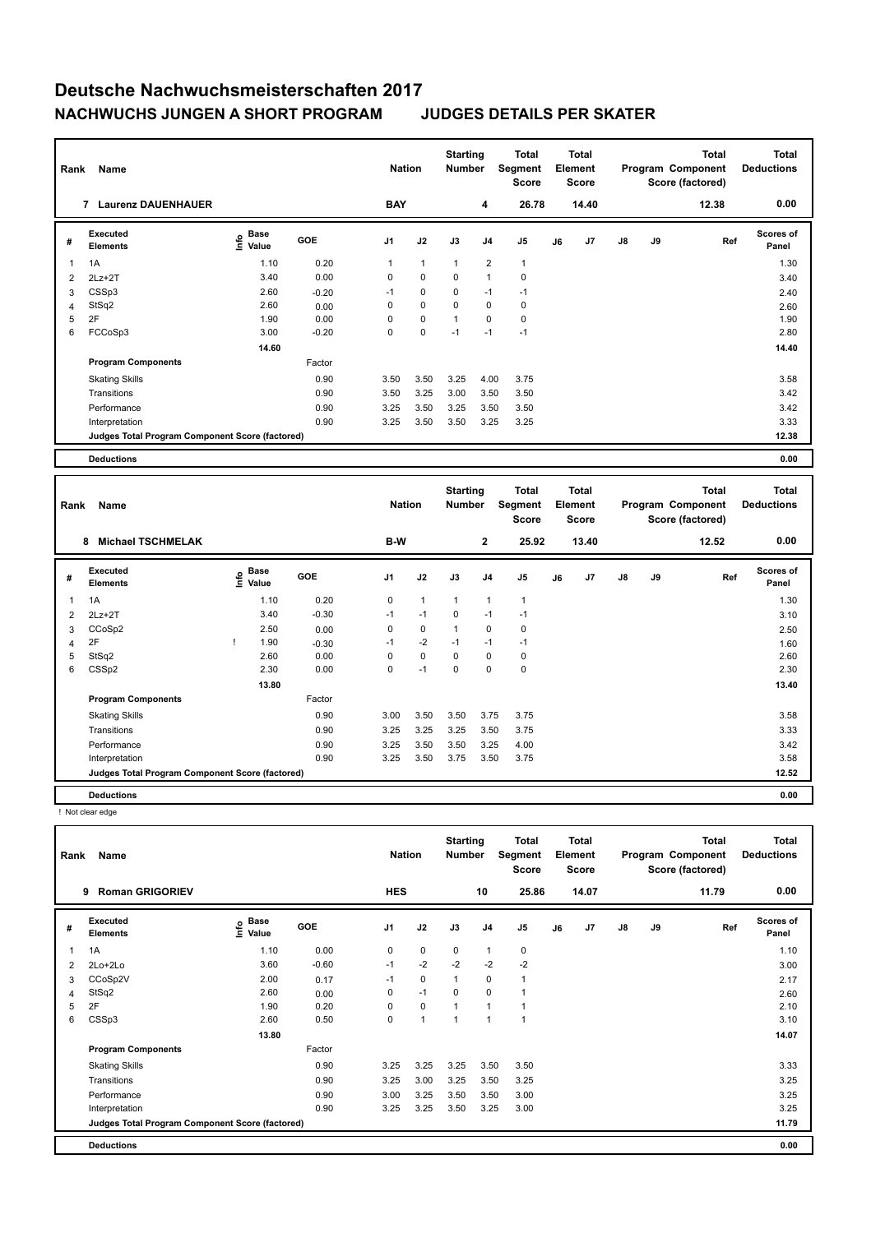| Rank | Name                                            |                                    |         | <b>Nation</b>  |              | <b>Starting</b><br>Number |                | Total<br>Segment<br><b>Score</b> |    | <b>Total</b><br>Element<br><b>Score</b> |    |    | <b>Total</b><br>Program Component<br>Score (factored) | <b>Total</b><br><b>Deductions</b> |
|------|-------------------------------------------------|------------------------------------|---------|----------------|--------------|---------------------------|----------------|----------------------------------|----|-----------------------------------------|----|----|-------------------------------------------------------|-----------------------------------|
|      | 7<br><b>Laurenz DAUENHAUER</b>                  |                                    |         | <b>BAY</b>     |              |                           | 4              | 26.78                            |    | 14.40                                   |    |    | 12.38                                                 | 0.00                              |
| #    | Executed<br><b>Elements</b>                     | <b>Base</b><br>$\frac{6}{5}$ Value | GOE     | J <sub>1</sub> | J2           | J3                        | J <sub>4</sub> | J <sub>5</sub>                   | J6 | J <sub>7</sub>                          | J8 | J9 | Ref                                                   | <b>Scores of</b><br>Panel         |
| 1    | 1A                                              | 1.10                               | 0.20    | 1              | $\mathbf{1}$ | $\mathbf{1}$              | 2              | $\mathbf{1}$                     |    |                                         |    |    |                                                       | 1.30                              |
| 2    | $2Lz+2T$                                        | 3.40                               | 0.00    | 0              | $\mathbf 0$  | 0                         | 1              | 0                                |    |                                         |    |    |                                                       | 3.40                              |
| 3    | CSSp3                                           | 2.60                               | $-0.20$ | $-1$           | $\mathbf 0$  | 0                         | $-1$           | $-1$                             |    |                                         |    |    |                                                       | 2.40                              |
| 4    | StSq2                                           | 2.60                               | 0.00    | $\Omega$       | $\mathbf 0$  | $\mathbf 0$               | $\mathbf 0$    | $\mathbf 0$                      |    |                                         |    |    |                                                       | 2.60                              |
| 5    | 2F                                              | 1.90                               | 0.00    | 0              | $\pmb{0}$    | $\mathbf{1}$              | 0              | 0                                |    |                                         |    |    |                                                       | 1.90                              |
| 6    | FCCoSp3                                         | 3.00                               | $-0.20$ | 0              | $\pmb{0}$    | $-1$                      | $-1$           | $-1$                             |    |                                         |    |    |                                                       | 2.80                              |
|      |                                                 | 14.60                              |         |                |              |                           |                |                                  |    |                                         |    |    |                                                       | 14.40                             |
|      | <b>Program Components</b>                       |                                    | Factor  |                |              |                           |                |                                  |    |                                         |    |    |                                                       |                                   |
|      | <b>Skating Skills</b>                           |                                    | 0.90    | 3.50           | 3.50         | 3.25                      | 4.00           | 3.75                             |    |                                         |    |    |                                                       | 3.58                              |
|      | Transitions                                     |                                    | 0.90    | 3.50           | 3.25         | 3.00                      | 3.50           | 3.50                             |    |                                         |    |    |                                                       | 3.42                              |
|      | Performance                                     |                                    | 0.90    | 3.25           | 3.50         | 3.25                      | 3.50           | 3.50                             |    |                                         |    |    |                                                       | 3.42                              |
|      | Interpretation                                  |                                    | 0.90    | 3.25           | 3.50         | 3.50                      | 3.25           | 3.25                             |    |                                         |    |    |                                                       | 3.33                              |
|      | Judges Total Program Component Score (factored) |                                    |         |                |              |                           |                |                                  |    |                                         |    |    |                                                       | 12.38                             |
|      | <b>Deductions</b>                               |                                    |         |                |              |                           |                |                                  |    |                                         |    |    |                                                       | 0.00                              |

| Rank           | Name                                            |                           |            | <b>Nation</b>  |              | <b>Starting</b><br><b>Number</b> |                | Total<br>Segment<br><b>Score</b> |    | <b>Total</b><br>Element<br><b>Score</b> |               |    | <b>Total</b><br>Program Component<br>Score (factored) | <b>Total</b><br><b>Deductions</b> |
|----------------|-------------------------------------------------|---------------------------|------------|----------------|--------------|----------------------------------|----------------|----------------------------------|----|-----------------------------------------|---------------|----|-------------------------------------------------------|-----------------------------------|
|                | <b>Michael TSCHMELAK</b><br>8                   |                           |            | B-W            |              |                                  | $\mathbf{2}$   | 25.92                            |    | 13.40                                   |               |    | 12.52                                                 | 0.00                              |
| #              | <b>Executed</b><br><b>Elements</b>              | Base<br>e Base<br>E Value | <b>GOE</b> | J <sub>1</sub> | J2           | J3                               | J <sub>4</sub> | J <sub>5</sub>                   | J6 | J7                                      | $\mathsf{J}8$ | J9 | Ref                                                   | Scores of<br>Panel                |
| $\mathbf{1}$   | 1A                                              | 1.10                      | 0.20       | 0              | $\mathbf{1}$ | $\mathbf{1}$                     | $\mathbf{1}$   | $\overline{1}$                   |    |                                         |               |    |                                                       | 1.30                              |
| $\overline{2}$ | $2Lz + 2T$                                      | 3.40                      | $-0.30$    | $-1$           | $-1$         | 0                                | $-1$           | $-1$                             |    |                                         |               |    |                                                       | 3.10                              |
| 3              | CCoSp2                                          | 2.50                      | 0.00       | 0              | $\mathbf 0$  | 1                                | $\mathbf 0$    | 0                                |    |                                         |               |    |                                                       | 2.50                              |
| 4              | 2F                                              | 1.90                      | $-0.30$    | $-1$           | $-2$         | $-1$                             | $-1$           | $-1$                             |    |                                         |               |    |                                                       | 1.60                              |
| 5              | StSq2                                           | 2.60                      | 0.00       | 0              | $\mathbf 0$  | 0                                | $\mathbf 0$    | 0                                |    |                                         |               |    |                                                       | 2.60                              |
| 6              | CSS <sub>p2</sub>                               | 2.30                      | 0.00       | 0              | $-1$         | 0                                | $\Omega$       | $\mathbf 0$                      |    |                                         |               |    |                                                       | 2.30                              |
|                |                                                 | 13.80                     |            |                |              |                                  |                |                                  |    |                                         |               |    |                                                       | 13.40                             |
|                | <b>Program Components</b>                       |                           | Factor     |                |              |                                  |                |                                  |    |                                         |               |    |                                                       |                                   |
|                | <b>Skating Skills</b>                           |                           | 0.90       | 3.00           | 3.50         | 3.50                             | 3.75           | 3.75                             |    |                                         |               |    |                                                       | 3.58                              |
|                | Transitions                                     |                           | 0.90       | 3.25           | 3.25         | 3.25                             | 3.50           | 3.75                             |    |                                         |               |    |                                                       | 3.33                              |
|                | Performance                                     |                           | 0.90       | 3.25           | 3.50         | 3.50                             | 3.25           | 4.00                             |    |                                         |               |    |                                                       | 3.42                              |
|                | Interpretation                                  |                           | 0.90       | 3.25           | 3.50         | 3.75                             | 3.50           | 3.75                             |    |                                         |               |    |                                                       | 3.58                              |
|                | Judges Total Program Component Score (factored) |                           |            |                |              |                                  |                |                                  |    |                                         |               |    |                                                       | 12.52                             |
|                | <b>Deductions</b>                               |                           |            |                |              |                                  |                |                                  |    |                                         |               |    |                                                       | 0.00                              |

! Not clear edge

| Rank         | Name                                            |                              |            | <b>Nation</b> |              | <b>Starting</b><br><b>Number</b> |                | <b>Total</b><br>Segment<br><b>Score</b> |    | <b>Total</b><br>Element<br><b>Score</b> |               |    | <b>Total</b><br>Program Component<br>Score (factored) | <b>Total</b><br><b>Deductions</b> |
|--------------|-------------------------------------------------|------------------------------|------------|---------------|--------------|----------------------------------|----------------|-----------------------------------------|----|-----------------------------------------|---------------|----|-------------------------------------------------------|-----------------------------------|
|              | <b>Roman GRIGORIEV</b><br>9                     |                              |            | <b>HES</b>    |              |                                  | 10             | 25.86                                   |    | 14.07                                   |               |    | 11.79                                                 | 0.00                              |
| #            | Executed<br><b>Elements</b>                     | <b>Base</b><br>lnfo<br>Value | <b>GOE</b> | J1            | J2           | J3                               | J <sub>4</sub> | J <sub>5</sub>                          | J6 | J7                                      | $\mathsf{J}8$ | J9 | Ref                                                   | <b>Scores of</b><br>Panel         |
| $\mathbf{1}$ | 1A                                              | 1.10                         | 0.00       | 0             | $\mathbf 0$  | $\Omega$                         | $\overline{1}$ | $\mathbf 0$                             |    |                                         |               |    |                                                       | 1.10                              |
| 2            | 2Lo+2Lo                                         | 3.60                         | $-0.60$    | $-1$          | $-2$         | $-2$                             | $-2$           | $-2$                                    |    |                                         |               |    |                                                       | 3.00                              |
| 3            | CCoSp2V                                         | 2.00                         | 0.17       | $-1$          | $\mathbf 0$  | $\mathbf{1}$                     | 0              | $\mathbf{1}$                            |    |                                         |               |    |                                                       | 2.17                              |
| 4            | StSq2                                           | 2.60                         | 0.00       | 0             | $-1$         | 0                                | 0              | 1                                       |    |                                         |               |    |                                                       | 2.60                              |
| 5            | 2F                                              | 1.90                         | 0.20       | 0             | $\mathbf 0$  | $\mathbf{1}$                     | $\overline{1}$ | $\mathbf{1}$                            |    |                                         |               |    |                                                       | 2.10                              |
| 6            | CSSp3                                           | 2.60                         | 0.50       | 0             | $\mathbf{1}$ | $\mathbf{1}$                     | 1              | 1                                       |    |                                         |               |    |                                                       | 3.10                              |
|              |                                                 | 13.80                        |            |               |              |                                  |                |                                         |    |                                         |               |    |                                                       | 14.07                             |
|              | <b>Program Components</b>                       |                              | Factor     |               |              |                                  |                |                                         |    |                                         |               |    |                                                       |                                   |
|              | <b>Skating Skills</b>                           |                              | 0.90       | 3.25          | 3.25         | 3.25                             | 3.50           | 3.50                                    |    |                                         |               |    |                                                       | 3.33                              |
|              | Transitions                                     |                              | 0.90       | 3.25          | 3.00         | 3.25                             | 3.50           | 3.25                                    |    |                                         |               |    |                                                       | 3.25                              |
|              | Performance                                     |                              | 0.90       | 3.00          | 3.25         | 3.50                             | 3.50           | 3.00                                    |    |                                         |               |    |                                                       | 3.25                              |
|              | Interpretation                                  |                              | 0.90       | 3.25          | 3.25         | 3.50                             | 3.25           | 3.00                                    |    |                                         |               |    |                                                       | 3.25                              |
|              | Judges Total Program Component Score (factored) |                              |            |               |              |                                  |                |                                         |    |                                         |               |    |                                                       | 11.79                             |
|              | <b>Deductions</b>                               |                              |            |               |              |                                  |                |                                         |    |                                         |               |    |                                                       | 0.00                              |